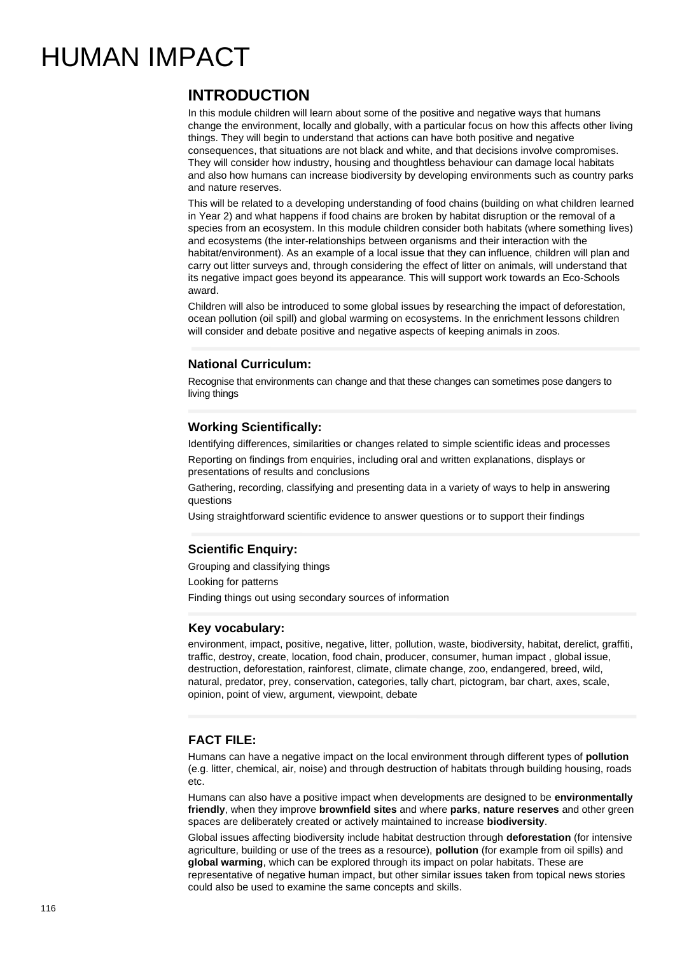# HUMAN IMPACT

# **INTRODUCTION**

In this module children will learn about some of the positive and negative ways that humans change the environment, locally and globally, with a particular focus on how this affects other living things. They will begin to understand that actions can have both positive and negative consequences, that situations are not black and white, and that decisions involve compromises. They will consider how industry, housing and thoughtless behaviour can damage local habitats and also how humans can increase biodiversity by developing environments such as country parks and nature reserves.

This will be related to a developing understanding of food chains (building on what children learned in Year 2) and what happens if food chains are broken by habitat disruption or the removal of a species from an ecosystem. In this module children consider both habitats (where something lives) and ecosystems (the inter-relationships between organisms and their interaction with the habitat/environment). As an example of a local issue that they can influence, children will plan and carry out litter surveys and, through considering the effect of litter on animals, will understand that its negative impact goes beyond its appearance. This will support work towards an Eco-Schools award.

Children will also be introduced to some global issues by researching the impact of deforestation, ocean pollution (oil spill) and global warming on ecosystems. In the enrichment lessons children will consider and debate positive and negative aspects of keeping animals in zoos.

# **National Curriculum:**

Recognise that environments can change and that these changes can sometimes pose dangers to living things

## **Working Scientifically:**

Identifying differences, similarities or changes related to simple scientific ideas and processes Reporting on findings from enquiries, including oral and written explanations, displays or presentations of results and conclusions

Gathering, recording, classifying and presenting data in a variety of ways to help in answering questions

Using straightforward scientific evidence to answer questions or to support their findings

# **Scientific Enquiry:**

Grouping and classifying things

Looking for patterns

Finding things out using secondary sources of information

### **Key vocabulary:**

environment, impact, positive, negative, litter, pollution, waste, biodiversity, habitat, derelict, graffiti, traffic, destroy, create, location, food chain, producer, consumer, human impact , global issue, destruction, deforestation, rainforest, climate, climate change, zoo, endangered, breed, wild, natural, predator, prey, conservation, categories, tally chart, pictogram, bar chart, axes, scale, opinion, point of view, argument, viewpoint, debate

### **FACT FILE:**

Humans can have a negative impact on the local environment through different types of **pollution** (e.g. litter, chemical, air, noise) and through destruction of habitats through building housing, roads etc.

Humans can also have a positive impact when developments are designed to be **environmentally friendly**, when they improve **brownfield sites** and where **parks**, **nature reserves** and other green spaces are deliberately created or actively maintained to increase **biodiversity**.

Global issues affecting biodiversity include habitat destruction through **deforestation** (for intensive agriculture, building or use of the trees as a resource), **pollution** (for example from oil spills) and **global warming**, which can be explored through its impact on polar habitats. These are representative of negative human impact, but other similar issues taken from topical news stories could also be used to examine the same concepts and skills.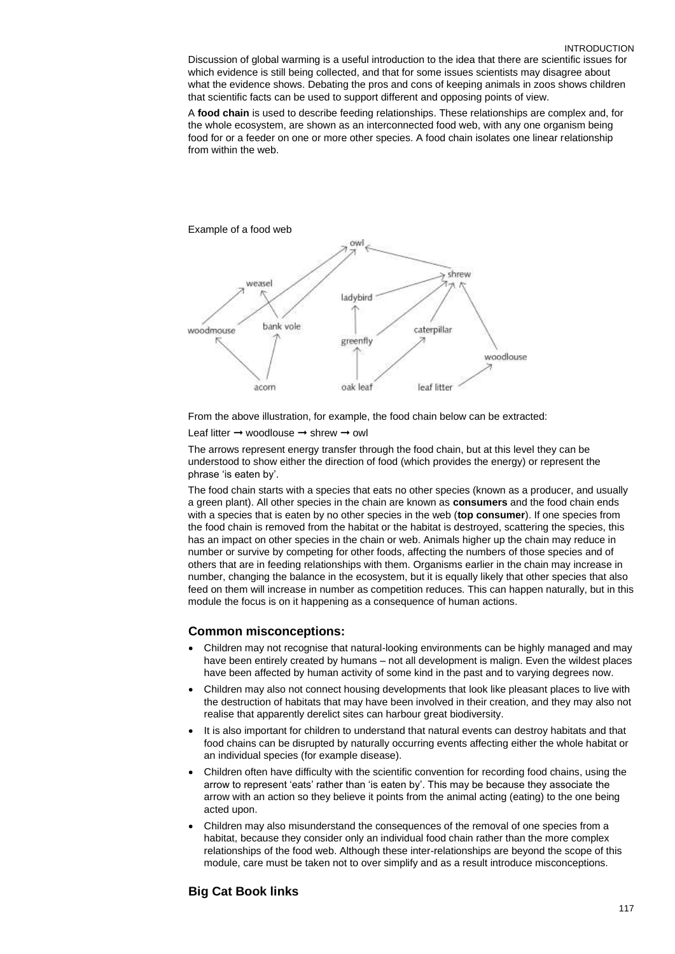Discussion of global warming is a useful introduction to the idea that there are scientific issues for which evidence is still being collected, and that for some issues scientists may disagree about what the evidence shows. Debating the pros and cons of keeping animals in zoos shows children that scientific facts can be used to support different and opposing points of view.

A **food chain** is used to describe feeding relationships. These relationships are complex and, for the whole ecosystem, are shown as an interconnected food web, with any one organism being food for or a feeder on one or more other species. A food chain isolates one linear relationship from within the web.



From the above illustration, for example, the food chain below can be extracted:

Leaf litter ➞ woodlouse ➞ shrew ➞ owl

The arrows represent energy transfer through the food chain, but at this level they can be understood to show either the direction of food (which provides the energy) or represent the phrase 'is eaten by'.

The food chain starts with a species that eats no other species (known as a producer, and usually a green plant). All other species in the chain are known as **consumers** and the food chain ends with a species that is eaten by no other species in the web (**top consumer**). If one species from the food chain is removed from the habitat or the habitat is destroyed, scattering the species, this has an impact on other species in the chain or web. Animals higher up the chain may reduce in number or survive by competing for other foods, affecting the numbers of those species and of others that are in feeding relationships with them. Organisms earlier in the chain may increase in number, changing the balance in the ecosystem, but it is equally likely that other species that also feed on them will increase in number as competition reduces. This can happen naturally, but in this module the focus is on it happening as a consequence of human actions.

#### **Common misconceptions:**

- Children may not recognise that natural-looking environments can be highly managed and may have been entirely created by humans – not all development is malign. Even the wildest places have been affected by human activity of some kind in the past and to varying degrees now.
- Children may also not connect housing developments that look like pleasant places to live with the destruction of habitats that may have been involved in their creation, and they may also not realise that apparently derelict sites can harbour great biodiversity.
- It is also important for children to understand that natural events can destroy habitats and that food chains can be disrupted by naturally occurring events affecting either the whole habitat or an individual species (for example disease).
- Children often have difficulty with the scientific convention for recording food chains, using the arrow to represent 'eats' rather than 'is eaten by'. This may be because they associate the arrow with an action so they believe it points from the animal acting (eating) to the one being acted upon.
- Children may also misunderstand the consequences of the removal of one species from a habitat, because they consider only an individual food chain rather than the more complex relationships of the food web. Although these inter-relationships are beyond the scope of this module, care must be taken not to over simplify and as a result introduce misconceptions.

#### **Big Cat Book links**